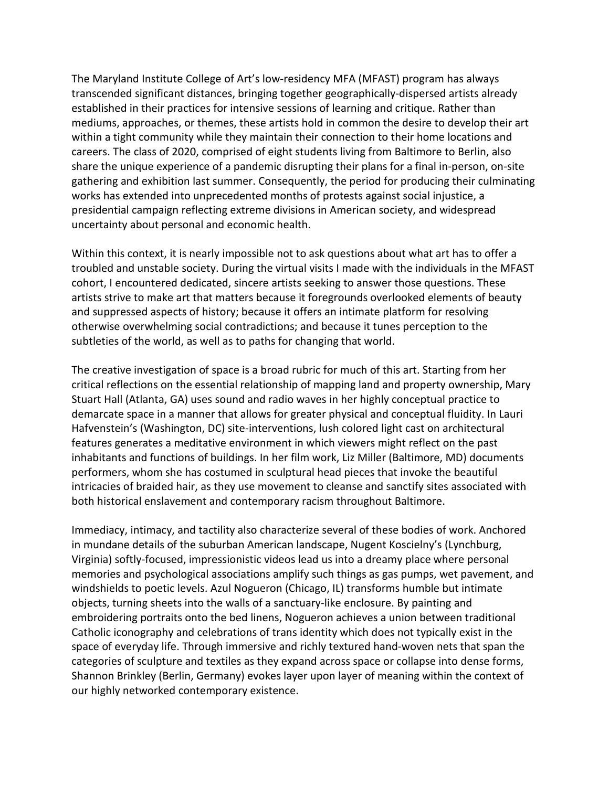The Maryland Institute College of Art's low-residency MFA (MFAST) program has always transcended significant distances, bringing together geographically-dispersed artists already established in their practices for intensive sessions of learning and critique. Rather than mediums, approaches, or themes, these artists hold in common the desire to develop their art within a tight community while they maintain their connection to their home locations and careers. The class of 2020, comprised of eight students living from Baltimore to Berlin, also share the unique experience of a pandemic disrupting their plans for a final in-person, on-site gathering and exhibition last summer. Consequently, the period for producing their culminating works has extended into unprecedented months of protests against social injustice, a presidential campaign reflecting extreme divisions in American society, and widespread uncertainty about personal and economic health.

Within this context, it is nearly impossible not to ask questions about what art has to offer a troubled and unstable society. During the virtual visits I made with the individuals in the MFAST cohort, I encountered dedicated, sincere artists seeking to answer those questions. These artists strive to make art that matters because it foregrounds overlooked elements of beauty and suppressed aspects of history; because it offers an intimate platform for resolving otherwise overwhelming social contradictions; and because it tunes perception to the subtleties of the world, as well as to paths for changing that world.

The creative investigation of space is a broad rubric for much of this art. Starting from her critical reflections on the essential relationship of mapping land and property ownership, Mary Stuart Hall (Atlanta, GA) uses sound and radio waves in her highly conceptual practice to demarcate space in a manner that allows for greater physical and conceptual fluidity. In Lauri Hafvenstein's (Washington, DC) site-interventions, lush colored light cast on architectural features generates a meditative environment in which viewers might reflect on the past inhabitants and functions of buildings. In her film work, Liz Miller (Baltimore, MD) documents performers, whom she has costumed in sculptural head pieces that invoke the beautiful intricacies of braided hair, as they use movement to cleanse and sanctify sites associated with both historical enslavement and contemporary racism throughout Baltimore.

Immediacy, intimacy, and tactility also characterize several of these bodies of work. Anchored in mundane details of the suburban American landscape, Nugent Koscielny's (Lynchburg, Virginia) softly-focused, impressionistic videos lead us into a dreamy place where personal memories and psychological associations amplify such things as gas pumps, wet pavement, and windshields to poetic levels. Azul Nogueron (Chicago, IL) transforms humble but intimate objects, turning sheets into the walls of a sanctuary-like enclosure. By painting and embroidering portraits onto the bed linens, Nogueron achieves a union between traditional Catholic iconography and celebrations of trans identity which does not typically exist in the space of everyday life. Through immersive and richly textured hand-woven nets that span the categories of sculpture and textiles as they expand across space or collapse into dense forms, Shannon Brinkley (Berlin, Germany) evokes layer upon layer of meaning within the context of our highly networked contemporary existence.